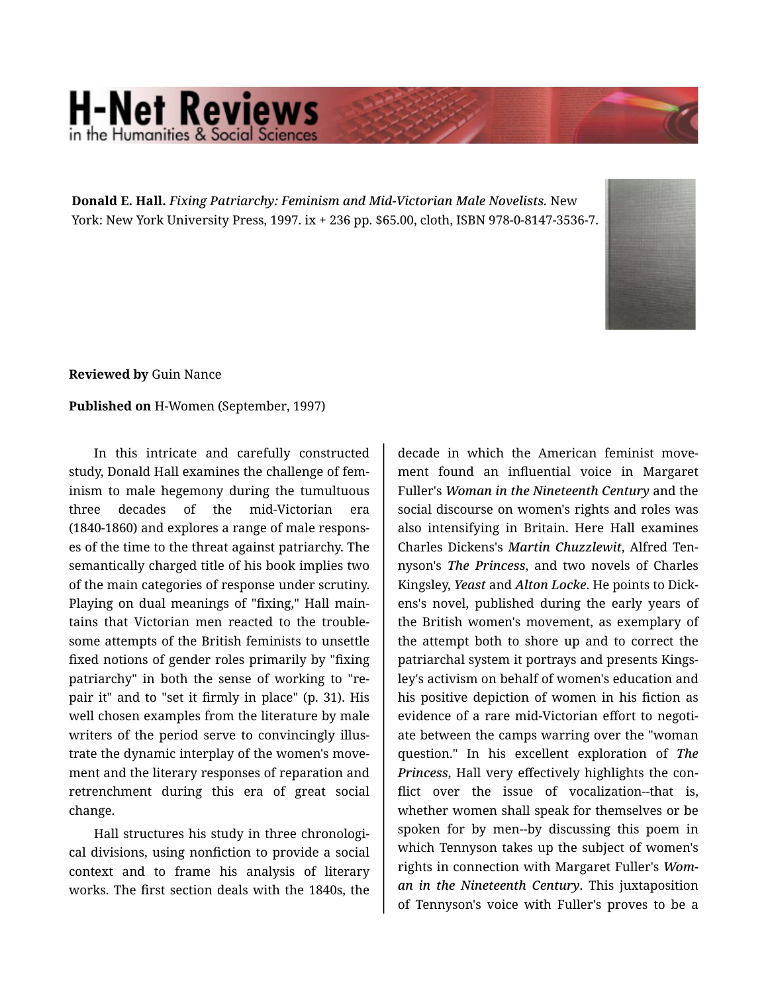## **H-Net Reviews** in the Humanities & Social Scie

**Donald E. Hall.** *Fixing Patriarchy: Feminism and Mid-Victorian Male Novelists.* New York: New York University Press, 1997. ix + 236 pp. \$65.00, cloth, ISBN 978-0-8147-3536-7.



**Reviewed by** Guin Nance

## **Published on** H-Women (September, 1997)

In this intricate and carefully constructed study, Donald Hall examines the challenge of fem‐ inism to male hegemony during the tumultuous three decades of the mid-Victorian era (1840-1860) and explores a range of male respons‐ es of the time to the threat against patriarchy. The semantically charged title of his book implies two of the main categories of response under scrutiny. Playing on dual meanings of "fixing," Hall main‐ tains that Victorian men reacted to the trouble‐ some attempts of the British feminists to unsettle fixed notions of gender roles primarily by "fixing patriarchy" in both the sense of working to "re‐ pair it" and to "set it firmly in place" (p. 31). His well chosen examples from the literature by male writers of the period serve to convincingly illustrate the dynamic interplay of the women's move‐ ment and the literary responses of reparation and retrenchment during this era of great social change.

Hall structures his study in three chronologi‐ cal divisions, using nonfiction to provide a social context and to frame his analysis of literary works. The first section deals with the 1840s, the

decade in which the American feminist move‐ ment found an influential voice in Margaret Fuller's *Woman in the Nineteenth Century* and the social discourse on women's rights and roles was also intensifying in Britain. Here Hall examines Charles Dickens's *Martin Chuzzlewit*, Alfred Ten‐ nyson's *The Princess*, and two novels of Charles Kingsley, *Yeast* and *Alton Locke*. He points to Dick‐ ens's novel, published during the early years of the British women's movement, as exemplary of the attempt both to shore up and to correct the patriarchal system it portrays and presents Kings‐ ley's activism on behalf of women's education and his positive depiction of women in his fiction as evidence of a rare mid-Victorian effort to negoti‐ ate between the camps warring over the "woman question." In his excellent exploration of *The Princess*, Hall very effectively highlights the con‐ flict over the issue of vocalization--that is, whether women shall speak for themselves or be spoken for by men--by discussing this poem in which Tennyson takes up the subject of women's rights in connection with Margaret Fuller's *Wom‐ an in the Nineteenth Century*. This juxtaposition of Tennyson's voice with Fuller's proves to be a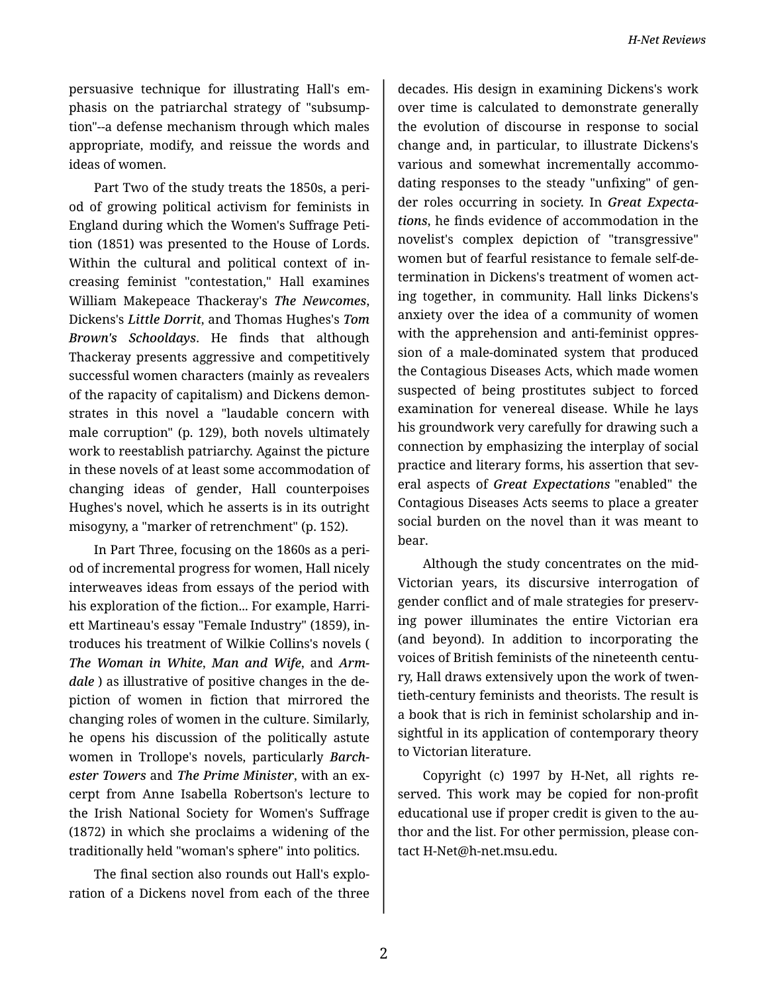persuasive technique for illustrating Hall's em‐ phasis on the patriarchal strategy of "subsump‐ tion"--a defense mechanism through which males appropriate, modify, and reissue the words and ideas of women.

Part Two of the study treats the 1850s, a peri‐ od of growing political activism for feminists in England during which the Women's Suffrage Peti‐ tion (1851) was presented to the House of Lords. Within the cultural and political context of in‐ creasing feminist "contestation," Hall examines William Makepeace Thackeray's *The Newcomes*, Dickens's *Little Dorrit*, and Thomas Hughes's *Tom Brown's Schooldays*. He finds that although Thackeray presents aggressive and competitively successful women characters (mainly as revealers of the rapacity of capitalism) and Dickens demon‐ strates in this novel a "laudable concern with male corruption" (p. 129), both novels ultimately work to reestablish patriarchy. Against the picture in these novels of at least some accommodation of changing ideas of gender, Hall counterpoises Hughes's novel, which he asserts is in its outright misogyny, a "marker of retrenchment" (p. 152).

In Part Three, focusing on the 1860s as a peri‐ od of incremental progress for women, Hall nicely interweaves ideas from essays of the period with his exploration of the fiction... For example, Harri‐ ett Martineau's essay "Female Industry" (1859), in‐ troduces his treatment of Wilkie Collins's novels ( *The Woman in White*, *Man and Wife*, and *Arm‐ dale* ) as illustrative of positive changes in the de‐ piction of women in fiction that mirrored the changing roles of women in the culture. Similarly, he opens his discussion of the politically astute women in Trollope's novels, particularly *Barch‐ ester Towers* and *The Prime Minister*, with an ex‐ cerpt from Anne Isabella Robertson's lecture to the Irish National Society for Women's Suffrage (1872) in which she proclaims a widening of the traditionally held "woman's sphere" into politics.

The final section also rounds out Hall's explo‐ ration of a Dickens novel from each of the three

decades. His design in examining Dickens's work over time is calculated to demonstrate generally the evolution of discourse in response to social change and, in particular, to illustrate Dickens's various and somewhat incrementally accommo‐ dating responses to the steady "unfixing" of gen‐ der roles occurring in society. In *Great Expecta‐ tions*, he finds evidence of accommodation in the novelist's complex depiction of "transgressive" women but of fearful resistance to female self-de‐ termination in Dickens's treatment of women act‐ ing together, in community. Hall links Dickens's anxiety over the idea of a community of women with the apprehension and anti-feminist oppression of a male-dominated system that produced the Contagious Diseases Acts, which made women suspected of being prostitutes subject to forced examination for venereal disease. While he lays his groundwork very carefully for drawing such a connection by emphasizing the interplay of social practice and literary forms, his assertion that several aspects of *Great Expectations* "enabled" the Contagious Diseases Acts seems to place a greater social burden on the novel than it was meant to bear.

Although the study concentrates on the mid-Victorian years, its discursive interrogation of gender conflict and of male strategies for preserv‐ ing power illuminates the entire Victorian era (and beyond). In addition to incorporating the voices of British feminists of the nineteenth centu‐ ry, Hall draws extensively upon the work of twen‐ tieth-century feminists and theorists. The result is a book that is rich in feminist scholarship and in‐ sightful in its application of contemporary theory to Victorian literature.

Copyright (c) 1997 by H-Net, all rights re‐ served. This work may be copied for non-profit educational use if proper credit is given to the au‐ thor and the list. For other permission, please con‐ tact H-Net@h-net.msu.edu.

2